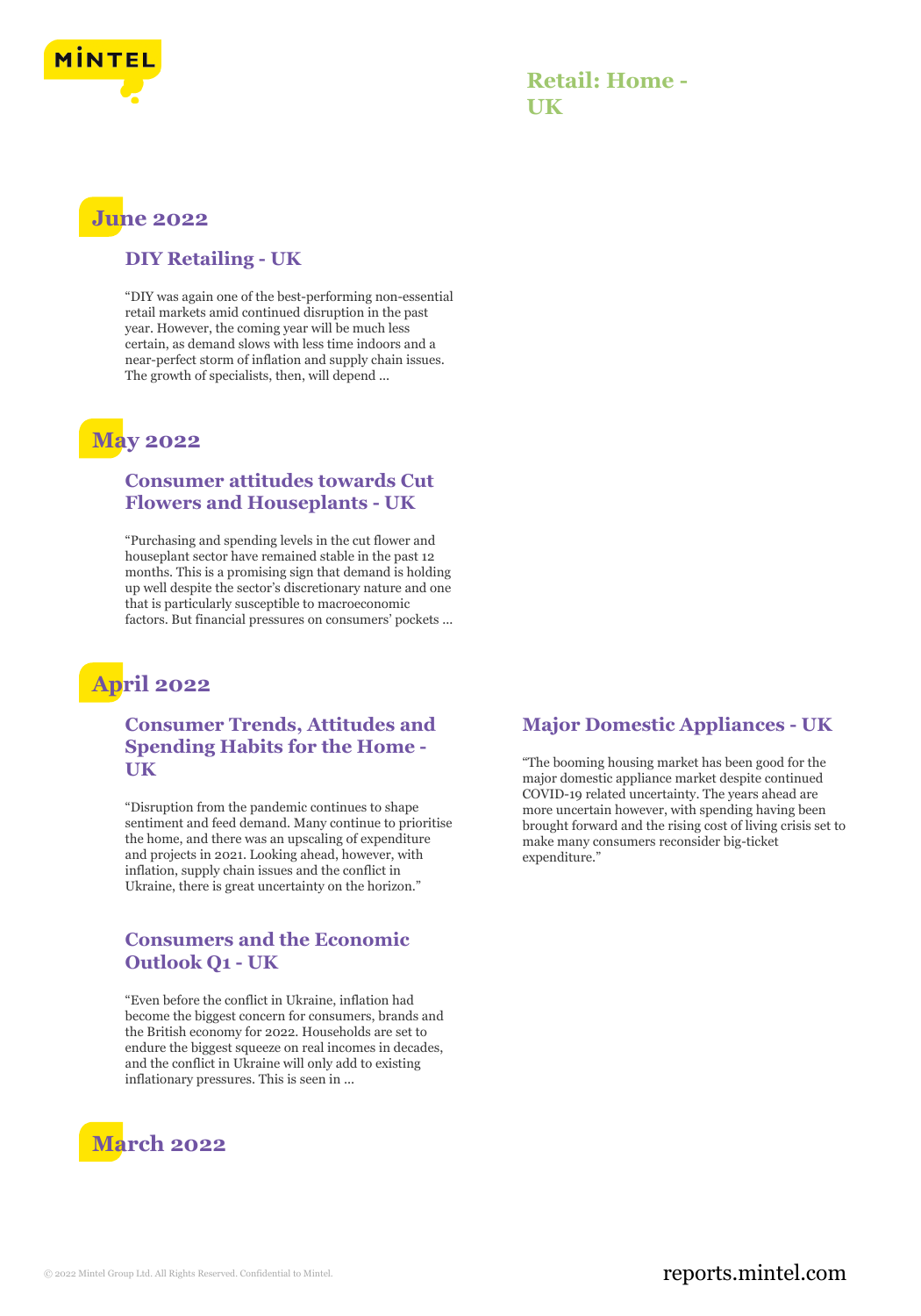

### **Retail: Home - UK**

# **June 2022**

#### **DIY Retailing - UK**

"DIY was again one of the best-performing non-essential retail markets amid continued disruption in the past year. However, the coming year will be much less certain, as demand slows with less time indoors and a near-perfect storm of inflation and supply chain issues. The growth of specialists, then, will depend ...

## **May 2022**

#### **Consumer attitudes towards Cut Flowers and Houseplants - UK**

"Purchasing and spending levels in the cut flower and houseplant sector have remained stable in the past 12 months. This is a promising sign that demand is holding up well despite the sector's discretionary nature and one that is particularly susceptible to macroeconomic factors. But financial pressures on consumers' pockets ...

# **April 2022**

#### **Consumer Trends, Attitudes and Spending Habits for the Home - UK**

"Disruption from the pandemic continues to shape sentiment and feed demand. Many continue to prioritise the home, and there was an upscaling of expenditure and projects in 2021. Looking ahead, however, with inflation, supply chain issues and the conflict in Ukraine, there is great uncertainty on the horizon."

#### **Consumers and the Economic Outlook Q1 - UK**

"Even before the conflict in Ukraine, inflation had become the biggest concern for consumers, brands and the British economy for 2022. Households are set to endure the biggest squeeze on real incomes in decades, and the conflict in Ukraine will only add to existing inflationary pressures. This is seen in ...

# **March 2022**

#### **Major Domestic Appliances - UK**

"The booming housing market has been good for the major domestic appliance market despite continued COVID-19 related uncertainty. The years ahead are more uncertain however, with spending having been brought forward and the rising cost of living crisis set to make many consumers reconsider big-ticket expenditure."